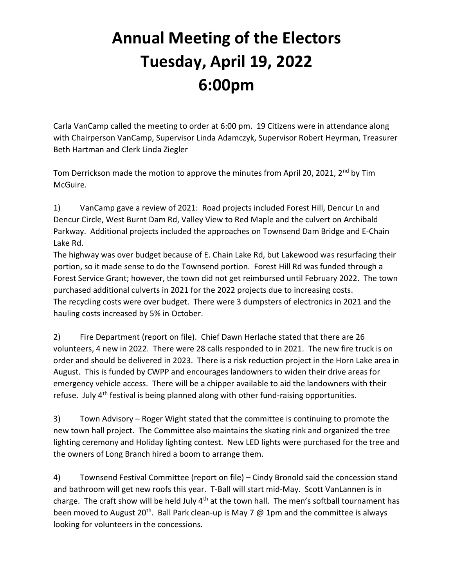## Annual Meeting of the Electors Tuesday, April 19, 2022 6:00pm

Carla VanCamp called the meeting to order at 6:00 pm. 19 Citizens were in attendance along with Chairperson VanCamp, Supervisor Linda Adamczyk, Supervisor Robert Heyrman, Treasurer Beth Hartman and Clerk Linda Ziegler

Tom Derrickson made the motion to approve the minutes from April 20, 2021,  $2^{nd}$  by Tim McGuire.

1) VanCamp gave a review of 2021: Road projects included Forest Hill, Dencur Ln and Dencur Circle, West Burnt Dam Rd, Valley View to Red Maple and the culvert on Archibald Parkway. Additional projects included the approaches on Townsend Dam Bridge and E-Chain Lake Rd.

The highway was over budget because of E. Chain Lake Rd, but Lakewood was resurfacing their portion, so it made sense to do the Townsend portion. Forest Hill Rd was funded through a Forest Service Grant; however, the town did not get reimbursed until February 2022. The town purchased additional culverts in 2021 for the 2022 projects due to increasing costs. The recycling costs were over budget. There were 3 dumpsters of electronics in 2021 and the hauling costs increased by 5% in October.

2) Fire Department (report on file). Chief Dawn Herlache stated that there are 26 volunteers, 4 new in 2022. There were 28 calls responded to in 2021. The new fire truck is on order and should be delivered in 2023. There is a risk reduction project in the Horn Lake area in August. This is funded by CWPP and encourages landowners to widen their drive areas for emergency vehicle access. There will be a chipper available to aid the landowners with their refuse. July 4<sup>th</sup> festival is being planned along with other fund-raising opportunities.

3) Town Advisory – Roger Wight stated that the committee is continuing to promote the new town hall project. The Committee also maintains the skating rink and organized the tree lighting ceremony and Holiday lighting contest. New LED lights were purchased for the tree and the owners of Long Branch hired a boom to arrange them.

4) Townsend Festival Committee (report on file) – Cindy Bronold said the concession stand and bathroom will get new roofs this year. T-Ball will start mid-May. Scott VanLannen is in charge. The craft show will be held July  $4<sup>th</sup>$  at the town hall. The men's softball tournament has been moved to August 20<sup>th</sup>. Ball Park clean-up is May 7  $\omega$  1pm and the committee is always looking for volunteers in the concessions.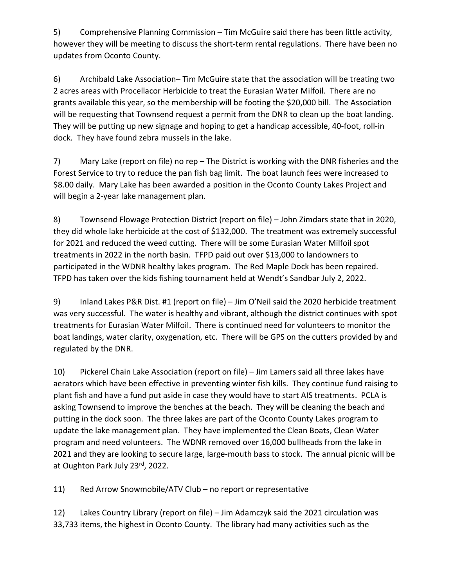5) Comprehensive Planning Commission – Tim McGuire said there has been little activity, however they will be meeting to discuss the short-term rental regulations. There have been no updates from Oconto County.

6) Archibald Lake Association– Tim McGuire state that the association will be treating two 2 acres areas with Procellacor Herbicide to treat the Eurasian Water Milfoil. There are no grants available this year, so the membership will be footing the \$20,000 bill. The Association will be requesting that Townsend request a permit from the DNR to clean up the boat landing. They will be putting up new signage and hoping to get a handicap accessible, 40-foot, roll-in dock. They have found zebra mussels in the lake.

7) Mary Lake (report on file) no rep – The District is working with the DNR fisheries and the Forest Service to try to reduce the pan fish bag limit. The boat launch fees were increased to \$8.00 daily. Mary Lake has been awarded a position in the Oconto County Lakes Project and will begin a 2-year lake management plan.

8) Townsend Flowage Protection District (report on file) – John Zimdars state that in 2020, they did whole lake herbicide at the cost of \$132,000. The treatment was extremely successful for 2021 and reduced the weed cutting. There will be some Eurasian Water Milfoil spot treatments in 2022 in the north basin. TFPD paid out over \$13,000 to landowners to participated in the WDNR healthy lakes program. The Red Maple Dock has been repaired. TFPD has taken over the kids fishing tournament held at Wendt's Sandbar July 2, 2022.

9) Inland Lakes P&R Dist. #1 (report on file) – Jim O'Neil said the 2020 herbicide treatment was very successful. The water is healthy and vibrant, although the district continues with spot treatments for Eurasian Water Milfoil. There is continued need for volunteers to monitor the boat landings, water clarity, oxygenation, etc. There will be GPS on the cutters provided by and regulated by the DNR.

10) Pickerel Chain Lake Association (report on file) – Jim Lamers said all three lakes have aerators which have been effective in preventing winter fish kills. They continue fund raising to plant fish and have a fund put aside in case they would have to start AIS treatments. PCLA is asking Townsend to improve the benches at the beach. They will be cleaning the beach and putting in the dock soon. The three lakes are part of the Oconto County Lakes program to update the lake management plan. They have implemented the Clean Boats, Clean Water program and need volunteers. The WDNR removed over 16,000 bullheads from the lake in 2021 and they are looking to secure large, large-mouth bass to stock. The annual picnic will be at Oughton Park July 23rd, 2022.

11) Red Arrow Snowmobile/ATV Club – no report or representative

12) Lakes Country Library (report on file) – Jim Adamczyk said the 2021 circulation was 33,733 items, the highest in Oconto County. The library had many activities such as the